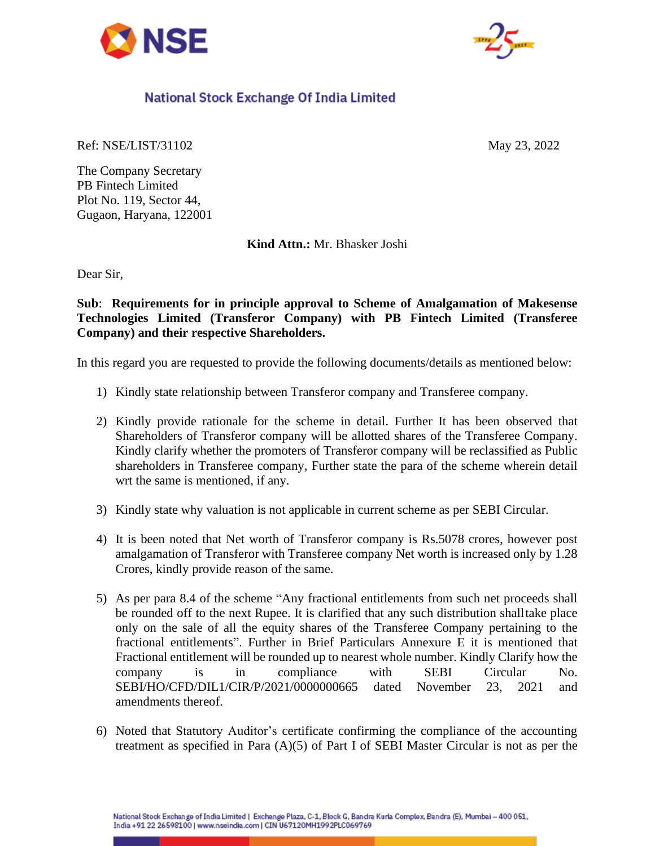



## National Stock Exchange Of India Limited

Ref: NSE/LIST/31102 May 23, 2022

The Company Secretary PB Fintech Limited Plot No. 119, Sector 44, Gugaon, Haryana, 122001

**Kind Attn.:** Mr. Bhasker Joshi

Dear Sir,

**Sub**: **Requirements for in principle approval to Scheme of Amalgamation of Makesense Technologies Limited (Transferor Company) with PB Fintech Limited (Transferee Company) and their respective Shareholders.**

In this regard you are requested to provide the following documents/details as mentioned below:

- 1) Kindly state relationship between Transferor company and Transferee company.
- 2) Kindly provide rationale for the scheme in detail. Further It has been observed that Shareholders of Transferor company will be allotted shares of the Transferee Company. Kindly clarify whether the promoters of Transferor company will be reclassified as Public shareholders in Transferee company, Further state the para of the scheme wherein detail wrt the same is mentioned, if any.
- 3) Kindly state why valuation is not applicable in current scheme as per SEBI Circular.
- 4) It is been noted that Net worth of Transferor company is Rs.5078 crores, however post amalgamation of Transferor with Transferee company Net worth is increased only by 1.28 Crores, kindly provide reason of the same.
- 5) As per para 8.4 of the scheme "Any fractional entitlements from such net proceeds shall be rounded off to the next Rupee. It is clarified that any such distribution shalltake place only on the sale of all the equity shares of the Transferee Company pertaining to the fractional entitlements". Further in Brief Particulars Annexure E it is mentioned that Fractional entitlement will be rounded up to nearest whole number. Kindly Clarify how the company is in compliance with SEBI Circular No. SEBI/HO/CFD/DIL1/CIR/P/2021/0000000665 dated November 23, 2021 and amendments thereof.
- 6) Noted that Statutory Auditor's certificate confirming the compliance of the accounting treatment as specified in Para (A)(5) of Part I of SEBI Master Circular is not as per the

National Stock Exchange of India Limited | Exchange Plaza, C-1, Block G, Bandra Kurla Complex, Bandra (E), Mumbai - 400 051, India +91 22 26598100 | www.nseindia.com | CIN U67120MH1992PLC069769